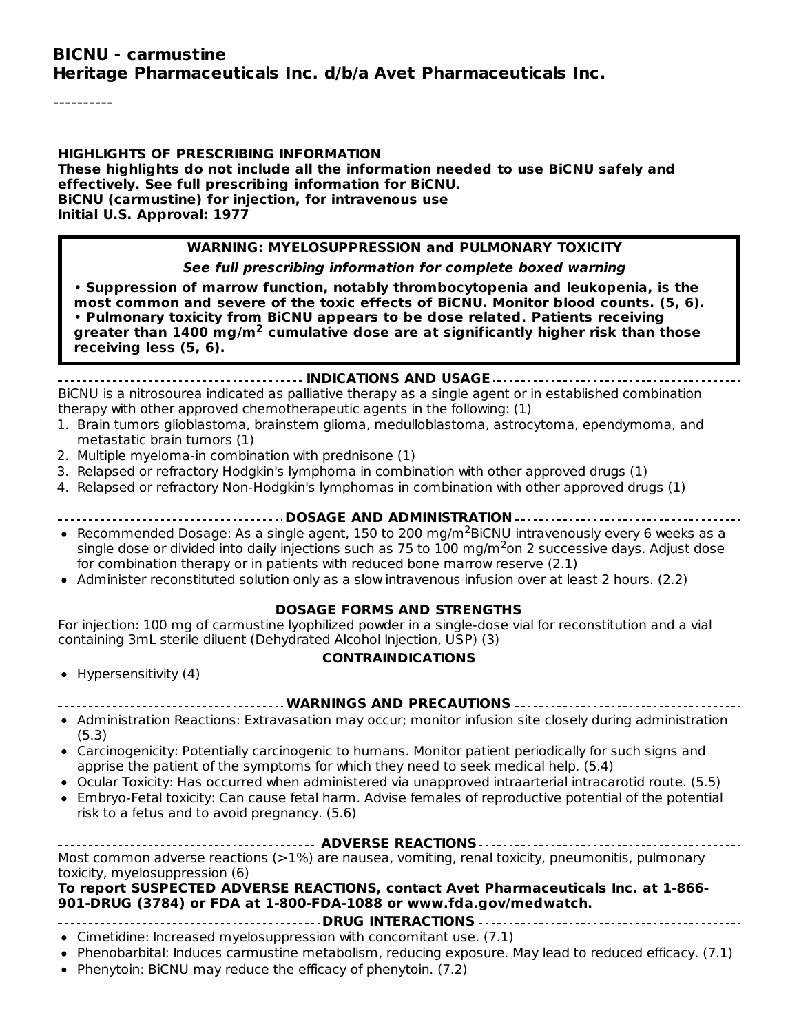#### **BICNU - carmustine Heritage Pharmaceuticals Inc. d/b/a Avet Pharmaceuticals Inc.**

----------

**HIGHLIGHTS OF PRESCRIBING INFORMATION These highlights do not include all the information needed to use BiCNU safely and effectively. See full prescribing information for BiCNU. BiCNU (carmustine) for injection, for intravenous use Initial U.S. Approval: 1977**

#### **WARNING: MYELOSUPPRESSION and PULMONARY TOXICITY**

**See full prescribing information for complete boxed warning**

• **Suppression of marrow function, notably thrombocytopenia and leukopenia, is the most common and severe of the toxic effects of BiCNU. Monitor blood counts. (5, 6).** • **Pulmonary toxicity from BiCNU appears to be dose related. Patients receiving greater than 1400 mg/m cumulative dose are at significantly higher risk than those 2 receiving less (5, 6).**

**INDICATIONS AND USAGE** BiCNU is a nitrosourea indicated as palliative therapy as a single agent or in established combination therapy with other approved chemotherapeutic agents in the following: (1)

- 1. Brain tumors glioblastoma, brainstem glioma, medulloblastoma, astrocytoma, ependymoma, and metastatic brain tumors (1)
- 2. Multiple myeloma-in combination with prednisone (1)
- 3. Relapsed or refractory Hodgkin's lymphoma in combination with other approved drugs (1)
- 4. Relapsed or refractory Non-Hodgkin's lymphomas in combination with other approved drugs (1)
- **DOSAGE AND ADMINISTRATION** Recommended Dosage: As a single agent, 150 to 200 mg/m<sup>2</sup>BiCNU intravenously every 6 weeks as a single dose or divided into daily injections such as 75 to  $100$  mg/m<sup>2</sup>on 2 successive days. Adjust dose for combination therapy or in patients with reduced bone marrow reserve (2.1) • Administer reconstituted solution only as a slow intravenous infusion over at least 2 hours. (2.2)
- - **DOSAGE FORMS AND STRENGTHS**

For injection: 100 mg of carmustine lyophilized powder in a single-dose vial for reconstitution and a vial containing 3mL sterile diluent (Dehydrated Alcohol Injection, USP) (3)

- 
- **CONTRAINDICATIONS**
- Hypersensitivity  $(4)$
- **WARNINGS AND PRECAUTIONS**
- Administration Reactions: Extravasation may occur; monitor infusion site closely during administration (5.3)
- Carcinogenicity: Potentially carcinogenic to humans. Monitor patient periodically for such signs and apprise the patient of the symptoms for which they need to seek medical help. (5.4)
- Ocular Toxicity: Has occurred when administered via unapproved intraarterial intracarotid route. (5.5)
- Embryo-Fetal toxicity: Can cause fetal harm. Advise females of reproductive potential of the potential risk to a fetus and to avoid pregnancy. (5.6)

| Most common adverse reactions (>1%) are nausea, vomiting, renal toxicity, pneumonitis, pulmonary |
|--------------------------------------------------------------------------------------------------|
| toxicity, myelosuppression (6)                                                                   |
| To report SUSPECTED ADVERSE REACTIONS, contact Avet Pharmaceuticals Inc. at 1-866-               |
| 901-DRUG (3784) or FDA at 1-800-FDA-1088 or www.fda.gov/medwatch.                                |
|                                                                                                  |

- Cimetidine: Increased myelosuppression with concomitant use. (7.1)
- Phenobarbital: Induces carmustine metabolism, reducing exposure. May lead to reduced efficacy. (7.1)
- Phenytoin: BiCNU may reduce the efficacy of phenytoin. (7.2)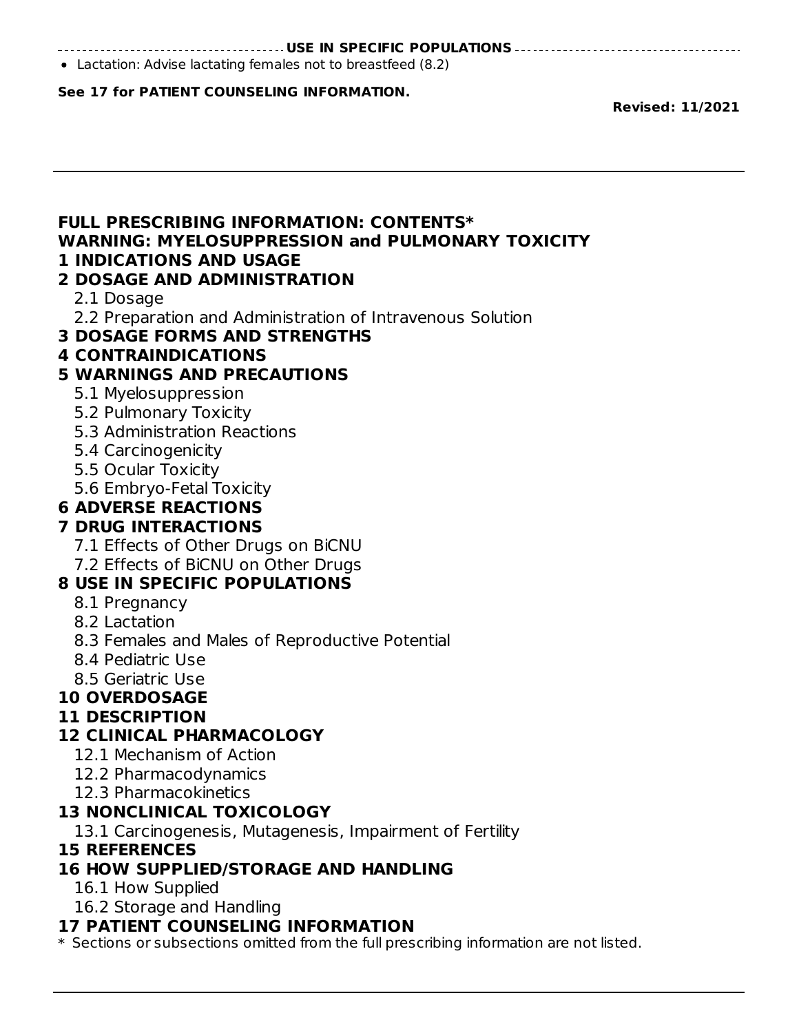#### **USE IN SPECIFIC POPULATIONS**

Lactation: Advise lactating females not to breastfeed (8.2)

#### **See 17 for PATIENT COUNSELING INFORMATION.**

**Revised: 11/2021**

#### **FULL PRESCRIBING INFORMATION: CONTENTS\* WARNING: MYELOSUPPRESSION and PULMONARY TOXICITY 1 INDICATIONS AND USAGE**

#### **2 DOSAGE AND ADMINISTRATION**

- 2.1 Dosage
- 2.2 Preparation and Administration of Intravenous Solution
- **3 DOSAGE FORMS AND STRENGTHS**

#### **4 CONTRAINDICATIONS**

### **5 WARNINGS AND PRECAUTIONS**

- 5.1 Myelosuppression
- 5.2 Pulmonary Toxicity
- 5.3 Administration Reactions
- 5.4 Carcinogenicity
- 5.5 Ocular Toxicity
- 5.6 Embryo-Fetal Toxicity

### **6 ADVERSE REACTIONS**

## **7 DRUG INTERACTIONS**

- 7.1 Effects of Other Drugs on BiCNU
- 7.2 Effects of BiCNU on Other Drugs

## **8 USE IN SPECIFIC POPULATIONS**

- 8.1 Pregnancy
- 8.2 Lactation
- 8.3 Females and Males of Reproductive Potential
- 8.4 Pediatric Use
- 8.5 Geriatric Use

## **10 OVERDOSAGE**

### **11 DESCRIPTION**

## **12 CLINICAL PHARMACOLOGY**

- 12.1 Mechanism of Action
- 12.2 Pharmacodynamics
- 12.3 Pharmacokinetics

## **13 NONCLINICAL TOXICOLOGY**

13.1 Carcinogenesis, Mutagenesis, Impairment of Fertility

### **15 REFERENCES**

## **16 HOW SUPPLIED/STORAGE AND HANDLING**

- 16.1 How Supplied
- 16.2 Storage and Handling

#### **17 PATIENT COUNSELING INFORMATION**

\* Sections or subsections omitted from the full prescribing information are not listed.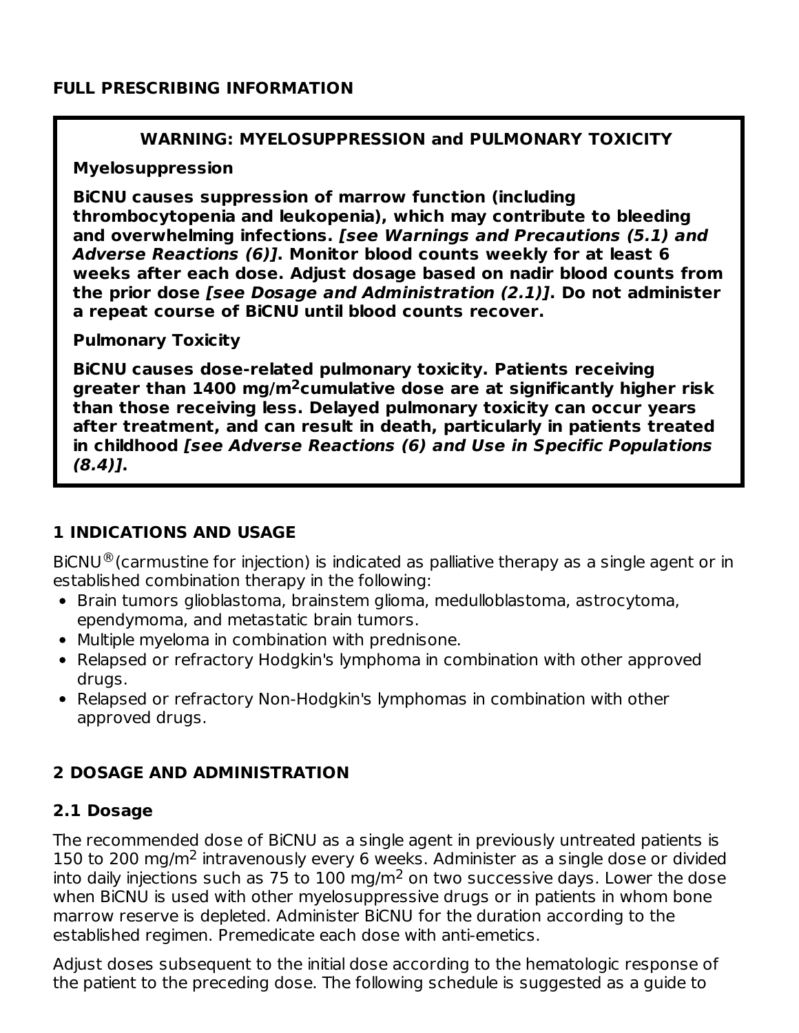#### **FULL PRESCRIBING INFORMATION**

#### **WARNING: MYELOSUPPRESSION and PULMONARY TOXICITY**

#### **Myelosuppression**

**BiCNU causes suppression of marrow function (including thrombocytopenia and leukopenia), which may contribute to bleeding and overwhelming infections. [see Warnings and Precautions (5.1) and Adverse Reactions (6)]. Monitor blood counts weekly for at least 6 weeks after each dose. Adjust dosage based on nadir blood counts from the prior dose [see Dosage and Administration (2.1)]. Do not administer a repeat course of BiCNU until blood counts recover.**

#### **Pulmonary Toxicity**

**BiCNU causes dose-related pulmonary toxicity. Patients receiving greater than 1400 mg/m cumulative dose are at significantly higher risk 2 than those receiving less. Delayed pulmonary toxicity can occur years after treatment, and can result in death, particularly in patients treated in childhood [see Adverse Reactions (6) and Use in Specific Populations (8.4)].**

## **1 INDICATIONS AND USAGE**

 $BiCNU<sup>®</sup> (carmustine for injection)$  is indicated as palliative therapy as a single agent or in established combination therapy in the following:

- Brain tumors glioblastoma, brainstem glioma, medulloblastoma, astrocytoma, ependymoma, and metastatic brain tumors.
- Multiple myeloma in combination with prednisone.
- Relapsed or refractory Hodgkin's lymphoma in combination with other approved drugs.
- Relapsed or refractory Non-Hodgkin's lymphomas in combination with other approved drugs.

## **2 DOSAGE AND ADMINISTRATION**

### **2.1 Dosage**

The recommended dose of BiCNU as a single agent in previously untreated patients is 150 to 200 mg/m<sup>2</sup> intravenously every 6 weeks. Administer as a single dose or divided into daily injections such as 75 to  $100 \text{ mg/m}^2$  on two successive days. Lower the dose when BiCNU is used with other myelosuppressive drugs or in patients in whom bone marrow reserve is depleted. Administer BiCNU for the duration according to the established regimen. Premedicate each dose with anti-emetics.

Adjust doses subsequent to the initial dose according to the hematologic response of the patient to the preceding dose. The following schedule is suggested as a guide to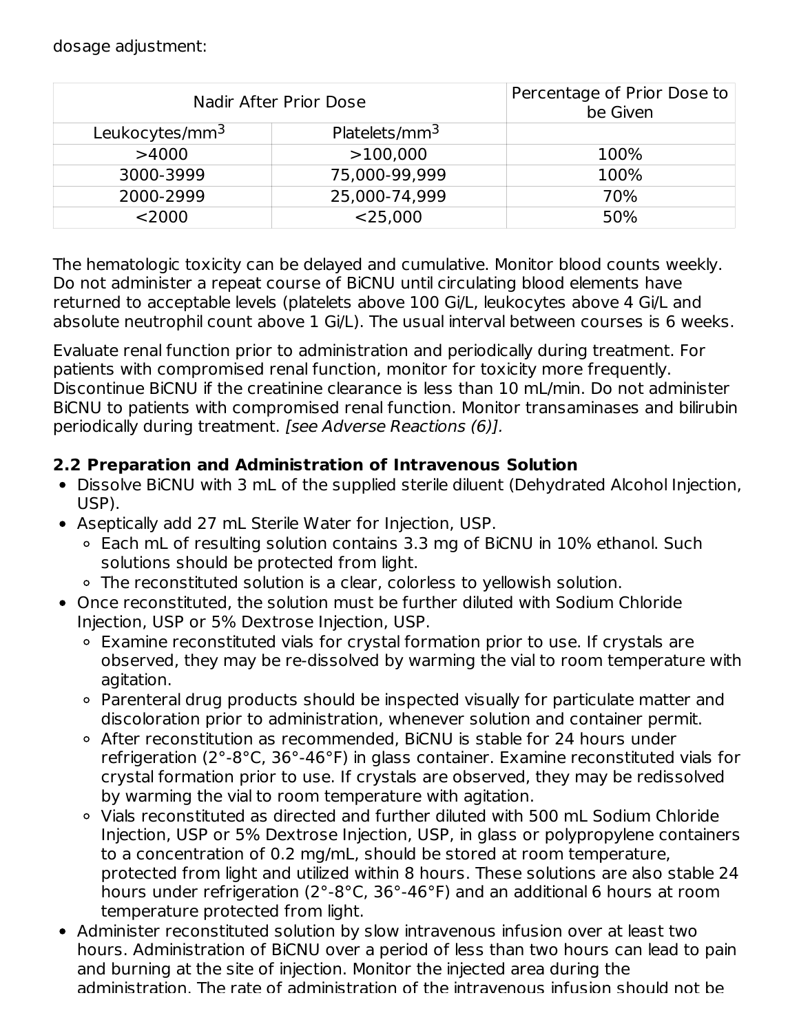| Nadir After Prior Dose     | Percentage of Prior Dose to<br>be Given |      |
|----------------------------|-----------------------------------------|------|
| Leukocytes/mm <sup>3</sup> | Platelets/mm <sup>3</sup>               |      |
| >4000                      | >100,000                                | 100% |
| 3000-3999                  | 75,000-99,999                           | 100% |
| 2000-2999                  | 25,000-74,999                           | 70%  |
| $<$ 2000                   | $<$ 25,000                              | 50%  |

The hematologic toxicity can be delayed and cumulative. Monitor blood counts weekly. Do not administer a repeat course of BiCNU until circulating blood elements have returned to acceptable levels (platelets above 100 Gi/L, leukocytes above 4 Gi/L and absolute neutrophil count above 1 Gi/L). The usual interval between courses is 6 weeks.

Evaluate renal function prior to administration and periodically during treatment. For patients with compromised renal function, monitor for toxicity more frequently. Discontinue BiCNU if the creatinine clearance is less than 10 mL/min. Do not administer BiCNU to patients with compromised renal function. Monitor transaminases and bilirubin periodically during treatment. [see Adverse Reactions (6)].

## **2.2 Preparation and Administration of Intravenous Solution**

- Dissolve BiCNU with 3 mL of the supplied sterile diluent (Dehydrated Alcohol Injection, USP).
- Aseptically add 27 mL Sterile Water for Injection, USP.
	- Each mL of resulting solution contains 3.3 mg of BiCNU in 10% ethanol. Such solutions should be protected from light.
	- The reconstituted solution is a clear, colorless to yellowish solution.
- Once reconstituted, the solution must be further diluted with Sodium Chloride Injection, USP or 5% Dextrose Injection, USP.
	- Examine reconstituted vials for crystal formation prior to use. If crystals are observed, they may be re-dissolved by warming the vial to room temperature with agitation.
	- o Parenteral drug products should be inspected visually for particulate matter and discoloration prior to administration, whenever solution and container permit.
	- After reconstitution as recommended, BiCNU is stable for 24 hours under refrigeration (2°-8°C, 36°-46°F) in glass container. Examine reconstituted vials for crystal formation prior to use. If crystals are observed, they may be redissolved by warming the vial to room temperature with agitation.
	- Vials reconstituted as directed and further diluted with 500 mL Sodium Chloride Injection, USP or 5% Dextrose Injection, USP, in glass or polypropylene containers to a concentration of 0.2 mg/mL, should be stored at room temperature, protected from light and utilized within 8 hours. These solutions are also stable 24 hours under refrigeration (2°-8°C, 36°-46°F) and an additional 6 hours at room temperature protected from light.
- Administer reconstituted solution by slow intravenous infusion over at least two hours. Administration of BiCNU over a period of less than two hours can lead to pain and burning at the site of injection. Monitor the injected area during the administration. The rate of administration of the intravenous infusion should not be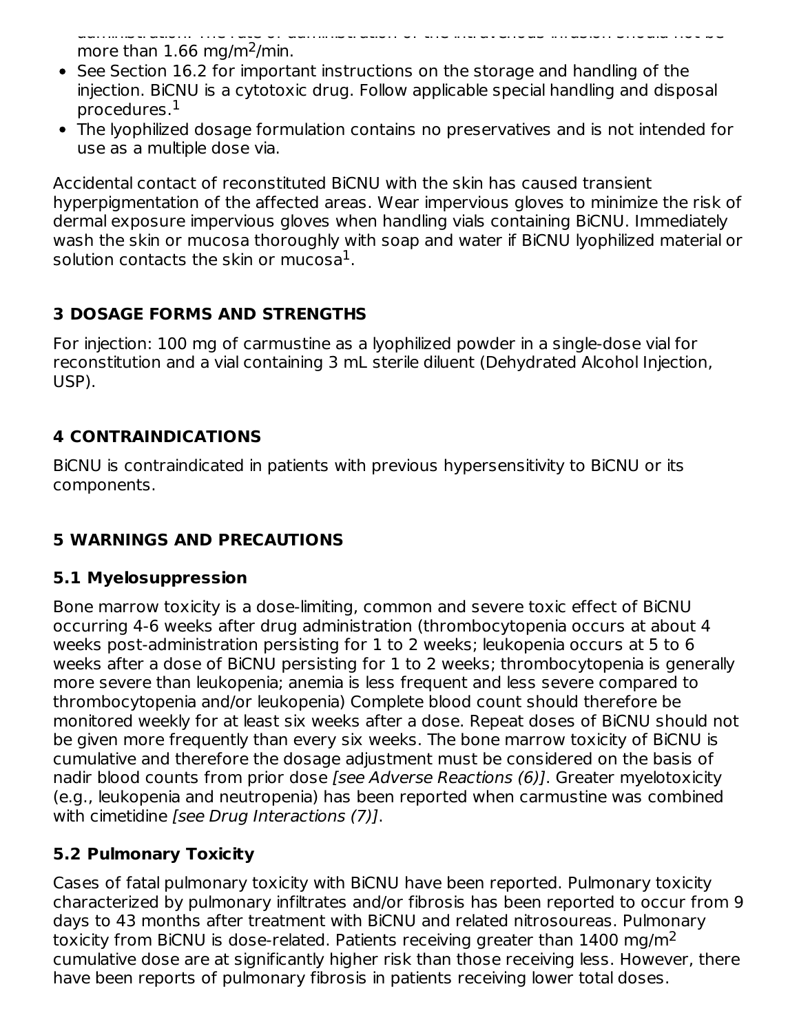administration. The rate of administration of the intravenous infusion should not be more than  $1.66$  mg/m<sup>2</sup>/min.

- See Section 16.2 for important instructions on the storage and handling of the injection. BiCNU is a cytotoxic drug. Follow applicable special handling and disposal procedures. 1
- The lyophilized dosage formulation contains no preservatives and is not intended for use as a multiple dose via.

Accidental contact of reconstituted BiCNU with the skin has caused transient hyperpigmentation of the affected areas. Wear impervious gloves to minimize the risk of dermal exposure impervious gloves when handling vials containing BiCNU. Immediately wash the skin or mucosa thoroughly with soap and water if BiCNU lyophilized material or solution contacts the skin or mucosa $^1\!.$ 

## **3 DOSAGE FORMS AND STRENGTHS**

For injection: 100 mg of carmustine as a lyophilized powder in a single-dose vial for reconstitution and a vial containing 3 mL sterile diluent (Dehydrated Alcohol Injection, USP).

## **4 CONTRAINDICATIONS**

BiCNU is contraindicated in patients with previous hypersensitivity to BiCNU or its components.

# **5 WARNINGS AND PRECAUTIONS**

## **5.1 Myelosuppression**

Bone marrow toxicity is a dose-limiting, common and severe toxic effect of BiCNU occurring 4-6 weeks after drug administration (thrombocytopenia occurs at about 4 weeks post-administration persisting for 1 to 2 weeks; leukopenia occurs at 5 to 6 weeks after a dose of BiCNU persisting for 1 to 2 weeks; thrombocytopenia is generally more severe than leukopenia; anemia is less frequent and less severe compared to thrombocytopenia and/or leukopenia) Complete blood count should therefore be monitored weekly for at least six weeks after a dose. Repeat doses of BiCNU should not be given more frequently than every six weeks. The bone marrow toxicity of BiCNU is cumulative and therefore the dosage adjustment must be considered on the basis of nadir blood counts from prior dose [see Adverse Reactions (6)]. Greater myelotoxicity (e.g., leukopenia and neutropenia) has been reported when carmustine was combined with cimetidine [see Drug Interactions (7)].

# **5.2 Pulmonary Toxicity**

Cases of fatal pulmonary toxicity with BiCNU have been reported. Pulmonary toxicity characterized by pulmonary infiltrates and/or fibrosis has been reported to occur from 9 days to 43 months after treatment with BiCNU and related nitrosoureas. Pulmonary toxicity from BiCNU is dose-related. Patients receiving greater than  $1400$  mg/m $^2$ cumulative dose are at significantly higher risk than those receiving less. However, there have been reports of pulmonary fibrosis in patients receiving lower total doses.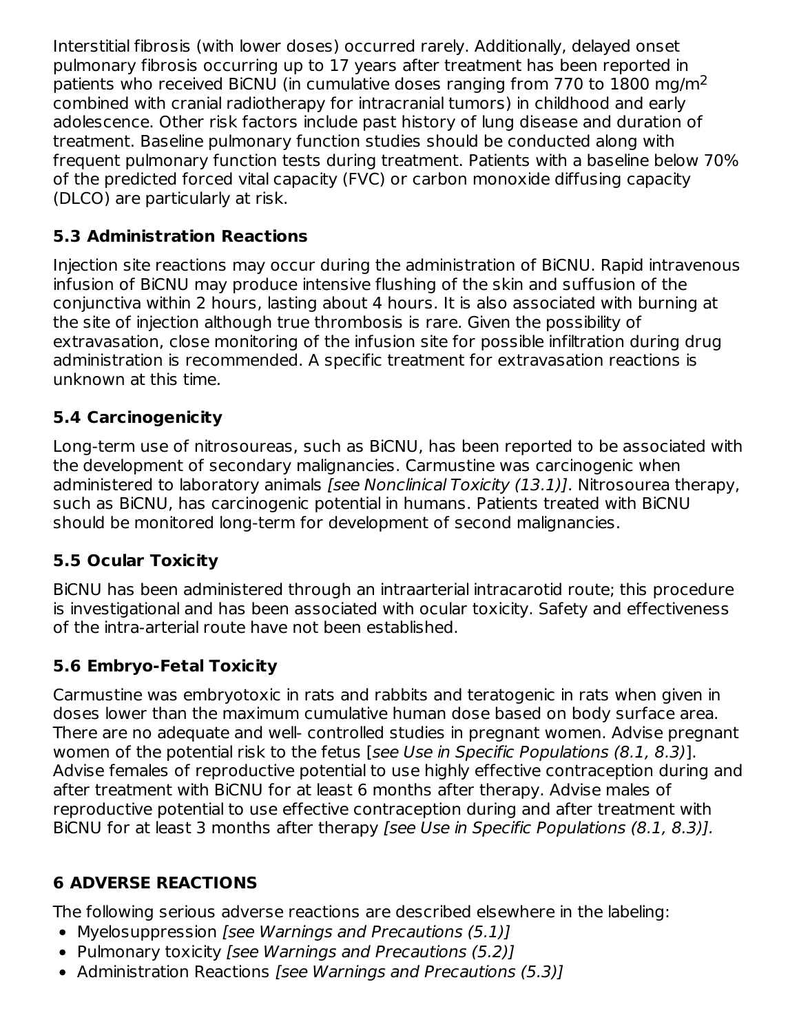Interstitial fibrosis (with lower doses) occurred rarely. Additionally, delayed onset pulmonary fibrosis occurring up to 17 years after treatment has been reported in patients who received BiCNU (in cumulative doses ranging from 770 to  $1800$  mg/m<sup>2</sup> combined with cranial radiotherapy for intracranial tumors) in childhood and early adolescence. Other risk factors include past history of lung disease and duration of treatment. Baseline pulmonary function studies should be conducted along with frequent pulmonary function tests during treatment. Patients with a baseline below 70% of the predicted forced vital capacity (FVC) or carbon monoxide diffusing capacity (DLCO) are particularly at risk.

## **5.3 Administration Reactions**

Injection site reactions may occur during the administration of BiCNU. Rapid intravenous infusion of BiCNU may produce intensive flushing of the skin and suffusion of the conjunctiva within 2 hours, lasting about 4 hours. It is also associated with burning at the site of injection although true thrombosis is rare. Given the possibility of extravasation, close monitoring of the infusion site for possible infiltration during drug administration is recommended. A specific treatment for extravasation reactions is unknown at this time.

# **5.4 Carcinogenicity**

Long-term use of nitrosoureas, such as BiCNU, has been reported to be associated with the development of secondary malignancies. Carmustine was carcinogenic when administered to laboratory animals [see Nonclinical Toxicity (13.1)]. Nitrosourea therapy, such as BiCNU, has carcinogenic potential in humans. Patients treated with BiCNU should be monitored long-term for development of second malignancies.

## **5.5 Ocular Toxicity**

BiCNU has been administered through an intraarterial intracarotid route; this procedure is investigational and has been associated with ocular toxicity. Safety and effectiveness of the intra-arterial route have not been established.

## **5.6 Embryo-Fetal Toxicity**

Carmustine was embryotoxic in rats and rabbits and teratogenic in rats when given in doses lower than the maximum cumulative human dose based on body surface area. There are no adequate and well- controlled studies in pregnant women. Advise pregnant women of the potential risk to the fetus [see Use in Specific Populations (8.1, 8.3)]. Advise females of reproductive potential to use highly effective contraception during and after treatment with BiCNU for at least 6 months after therapy. Advise males of reproductive potential to use effective contraception during and after treatment with BiCNU for at least 3 months after therapy [see Use in Specific Populations (8.1, 8.3)].

## **6 ADVERSE REACTIONS**

The following serious adverse reactions are described elsewhere in the labeling:

- Myelosuppression [see Warnings and Precautions (5.1)]
- Pulmonary toxicity *[see Warnings and Precautions (5.2)]*
- Administration Reactions [see Warnings and Precautions (5.3)]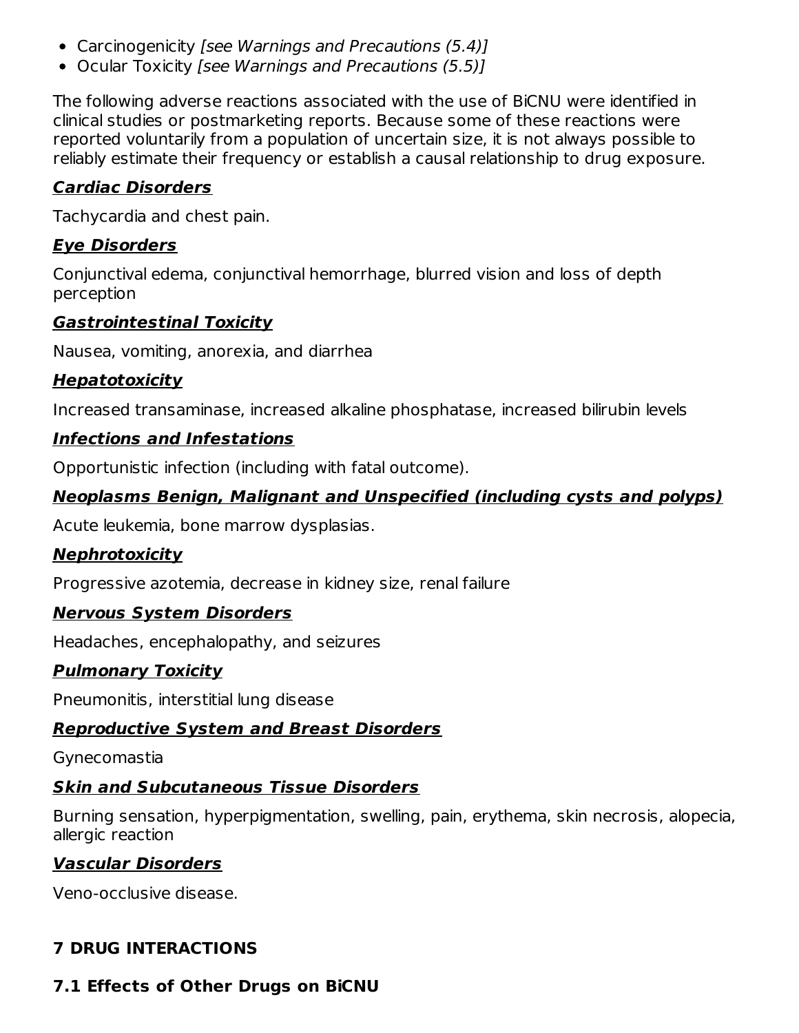- Carcinogenicity [see Warnings and Precautions (5.4)]
- Ocular Toxicity [see Warnings and Precautions (5.5)]

The following adverse reactions associated with the use of BiCNU were identified in clinical studies or postmarketing reports. Because some of these reactions were reported voluntarily from a population of uncertain size, it is not always possible to reliably estimate their frequency or establish a causal relationship to drug exposure.

## **Cardiac Disorders**

Tachycardia and chest pain.

## **Eye Disorders**

Conjunctival edema, conjunctival hemorrhage, blurred vision and loss of depth perception

### **Gastrointestinal Toxicity**

Nausea, vomiting, anorexia, and diarrhea

## **Hepatotoxicity**

Increased transaminase, increased alkaline phosphatase, increased bilirubin levels

## **Infections and Infestations**

Opportunistic infection (including with fatal outcome).

## **Neoplasms Benign, Malignant and Unspecified (including cysts and polyps)**

Acute leukemia, bone marrow dysplasias.

## **Nephrotoxicity**

Progressive azotemia, decrease in kidney size, renal failure

## **Nervous System Disorders**

Headaches, encephalopathy, and seizures

## **Pulmonary Toxicity**

Pneumonitis, interstitial lung disease

## **Reproductive System and Breast Disorders**

Gynecomastia

## **Skin and Subcutaneous Tissue Disorders**

Burning sensation, hyperpigmentation, swelling, pain, erythema, skin necrosis, alopecia, allergic reaction

## **Vascular Disorders**

Veno-occlusive disease.

## **7 DRUG INTERACTIONS**

## **7.1 Effects of Other Drugs on BiCNU**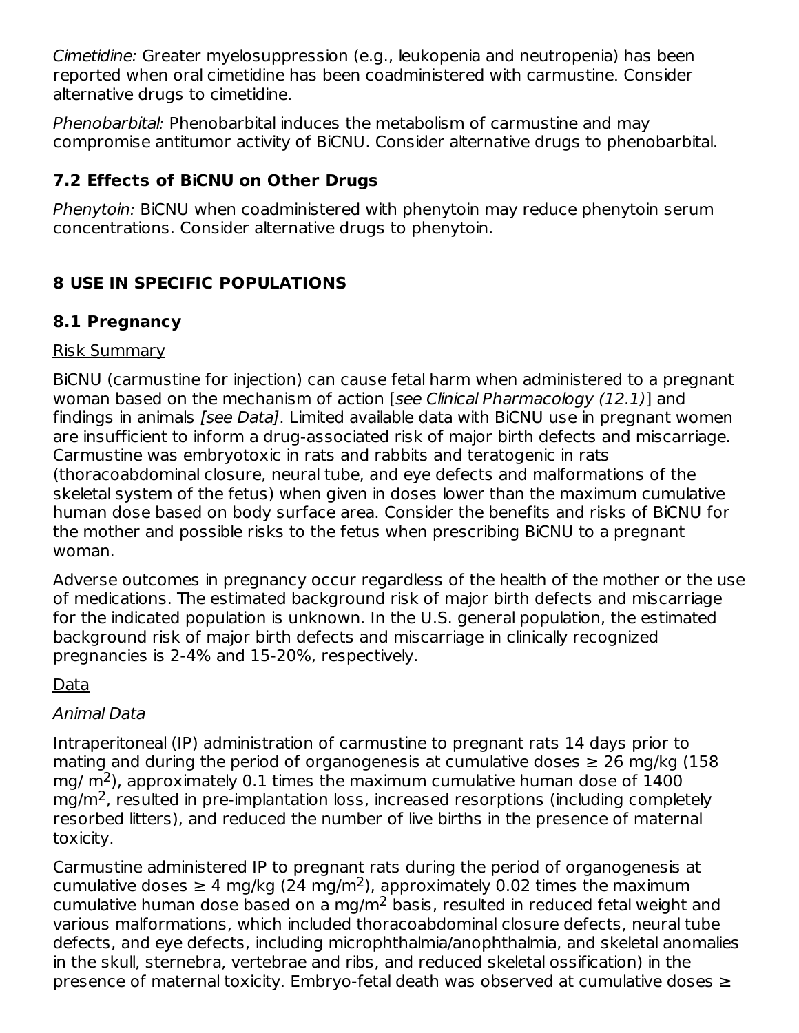Cimetidine: Greater myelosuppression (e.g., leukopenia and neutropenia) has been reported when oral cimetidine has been coadministered with carmustine. Consider alternative drugs to cimetidine.

Phenobarbital: Phenobarbital induces the metabolism of carmustine and may compromise antitumor activity of BiCNU. Consider alternative drugs to phenobarbital.

## **7.2 Effects of BiCNU on Other Drugs**

Phenytoin: BiCNU when coadministered with phenytoin may reduce phenytoin serum concentrations. Consider alternative drugs to phenytoin.

## **8 USE IN SPECIFIC POPULATIONS**

## **8.1 Pregnancy**

### Risk Summary

BiCNU (carmustine for injection) can cause fetal harm when administered to a pregnant woman based on the mechanism of action [see Clinical Pharmacology (12.1)] and findings in animals [see Data]. Limited available data with BiCNU use in pregnant women are insufficient to inform a drug-associated risk of major birth defects and miscarriage. Carmustine was embryotoxic in rats and rabbits and teratogenic in rats (thoracoabdominal closure, neural tube, and eye defects and malformations of the skeletal system of the fetus) when given in doses lower than the maximum cumulative human dose based on body surface area. Consider the benefits and risks of BiCNU for the mother and possible risks to the fetus when prescribing BiCNU to a pregnant woman.

Adverse outcomes in pregnancy occur regardless of the health of the mother or the use of medications. The estimated background risk of major birth defects and miscarriage for the indicated population is unknown. In the U.S. general population, the estimated background risk of major birth defects and miscarriage in clinically recognized pregnancies is 2-4% and 15-20%, respectively.

## Data

## Animal Data

Intraperitoneal (IP) administration of carmustine to pregnant rats 14 days prior to mating and during the period of organogenesis at cumulative doses  $\geq 26$  mg/kg (158) mg/  $\rm m^2$ ), approximately 0.1 times the maximum cumulative human dose of 1400  $mg/m<sup>2</sup>$ , resulted in pre-implantation loss, increased resorptions (including completely resorbed litters), and reduced the number of live births in the presence of maternal toxicity.

Carmustine administered IP to pregnant rats during the period of organogenesis at cumulative doses  $\geq 4$  mg/kg (24 mg/m<sup>2</sup>), approximately 0.02 times the maximum cumulative human dose based on a mg/m<sup>2</sup> basis, resulted in reduced fetal weight and various malformations, which included thoracoabdominal closure defects, neural tube defects, and eye defects, including microphthalmia/anophthalmia, and skeletal anomalies in the skull, sternebra, vertebrae and ribs, and reduced skeletal ossification) in the presence of maternal toxicity. Embryo-fetal death was observed at cumulative doses ≥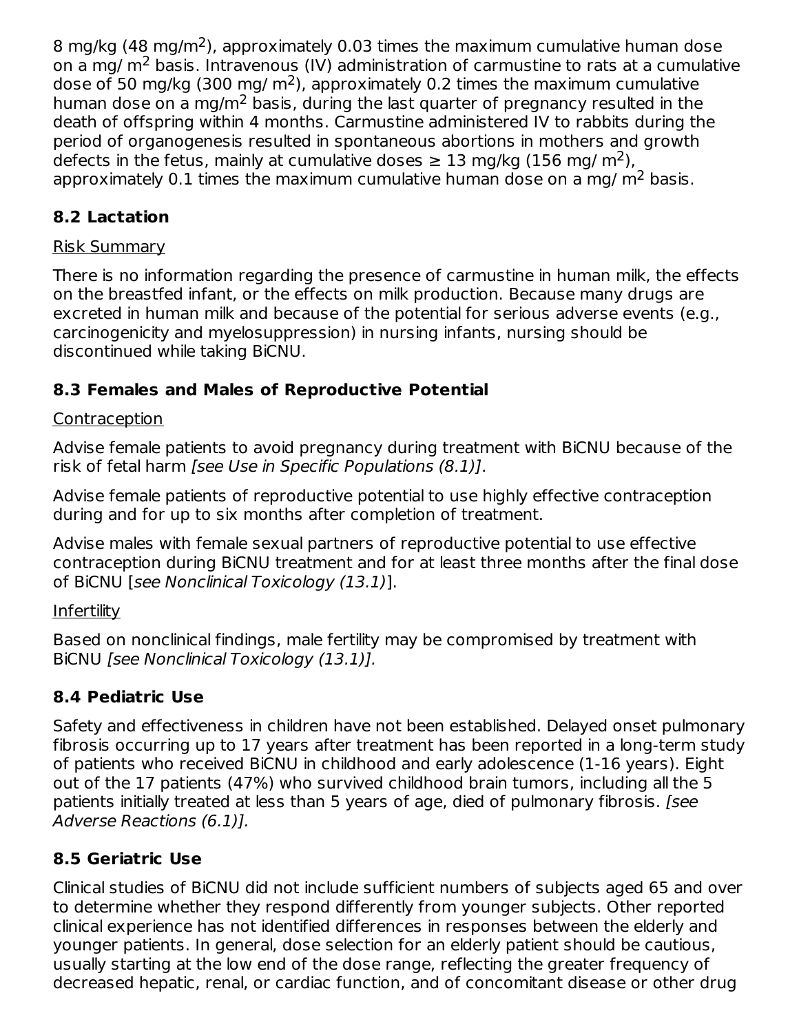8 mg/kg (48 mg/m<sup>2</sup>), approximately 0.03 times the maximum cumulative human dose on a mg/  $m<sup>2</sup>$  basis. Intravenous (IV) administration of carmustine to rats at a cumulative dose of 50 mg/kg (300 mg/ m<sup>2</sup>), approximately 0.2 times the maximum cumulative human dose on a mg/m<sup>2</sup> basis, during the last quarter of pregnancy resulted in the death of offspring within 4 months. Carmustine administered IV to rabbits during the period of organogenesis resulted in spontaneous abortions in mothers and growth defects in the fetus, mainly at cumulative doses  $\geq 13$  mg/kg (156 mg/ m<sup>2</sup>), approximately 0.1 times the maximum cumulative human dose on a mg/  $m<sup>2</sup>$  basis.

# **8.2 Lactation**

## Risk Summary

There is no information regarding the presence of carmustine in human milk, the effects on the breastfed infant, or the effects on milk production. Because many drugs are excreted in human milk and because of the potential for serious adverse events (e.g., carcinogenicity and myelosuppression) in nursing infants, nursing should be discontinued while taking BiCNU.

## **8.3 Females and Males of Reproductive Potential**

## **Contraception**

Advise female patients to avoid pregnancy during treatment with BiCNU because of the risk of fetal harm [see Use in Specific Populations (8.1)].

Advise female patients of reproductive potential to use highly effective contraception during and for up to six months after completion of treatment.

Advise males with female sexual partners of reproductive potential to use effective contraception during BiCNU treatment and for at least three months after the final dose of BiCNU [see Nonclinical Toxicology (13.1)].

## **Infertility**

Based on nonclinical findings, male fertility may be compromised by treatment with BiCNU [see Nonclinical Toxicology (13.1)].

## **8.4 Pediatric Use**

Safety and effectiveness in children have not been established. Delayed onset pulmonary fibrosis occurring up to 17 years after treatment has been reported in a long-term study of patients who received BiCNU in childhood and early adolescence (1-16 years). Eight out of the 17 patients (47%) who survived childhood brain tumors, including all the 5 patients initially treated at less than 5 years of age, died of pulmonary fibrosis. [see Adverse Reactions (6.1)].

# **8.5 Geriatric Use**

Clinical studies of BiCNU did not include sufficient numbers of subjects aged 65 and over to determine whether they respond differently from younger subjects. Other reported clinical experience has not identified differences in responses between the elderly and younger patients. In general, dose selection for an elderly patient should be cautious, usually starting at the low end of the dose range, reflecting the greater frequency of decreased hepatic, renal, or cardiac function, and of concomitant disease or other drug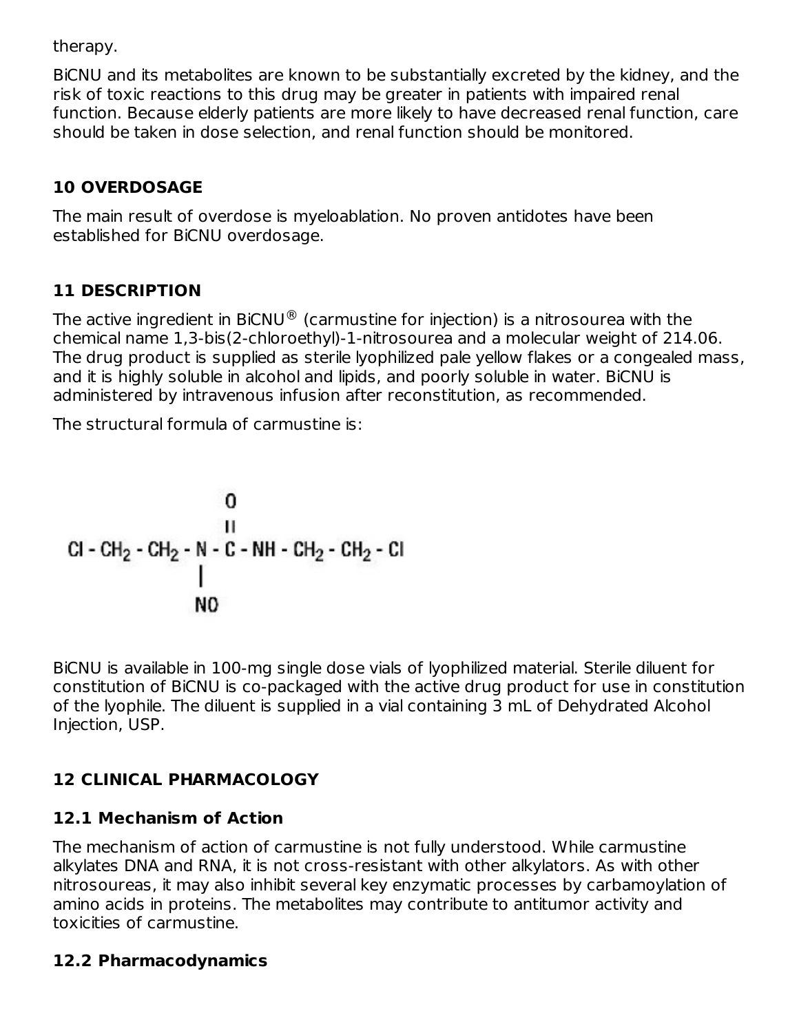therapy.

BiCNU and its metabolites are known to be substantially excreted by the kidney, and the risk of toxic reactions to this drug may be greater in patients with impaired renal function. Because elderly patients are more likely to have decreased renal function, care should be taken in dose selection, and renal function should be monitored.

## **10 OVERDOSAGE**

The main result of overdose is myeloablation. No proven antidotes have been established for BiCNU overdosage.

## **11 DESCRIPTION**

The active ingredient in BiCNU $^\circledR$  (carmustine for injection) is a nitrosourea with the chemical name 1,3-bis(2-chloroethyl)-1-nitrosourea and a molecular weight of 214.06. The drug product is supplied as sterile lyophilized pale yellow flakes or a congealed mass, and it is highly soluble in alcohol and lipids, and poorly soluble in water. BiCNU is administered by intravenous infusion after reconstitution, as recommended.

The structural formula of carmustine is:

BiCNU is available in 100-mg single dose vials of lyophilized material. Sterile diluent for constitution of BiCNU is co-packaged with the active drug product for use in constitution of the lyophile. The diluent is supplied in a vial containing 3 mL of Dehydrated Alcohol Injection, USP.

## **12 CLINICAL PHARMACOLOGY**

## **12.1 Mechanism of Action**

The mechanism of action of carmustine is not fully understood. While carmustine alkylates DNA and RNA, it is not cross-resistant with other alkylators. As with other nitrosoureas, it may also inhibit several key enzymatic processes by carbamoylation of amino acids in proteins. The metabolites may contribute to antitumor activity and toxicities of carmustine.

## **12.2 Pharmacodynamics**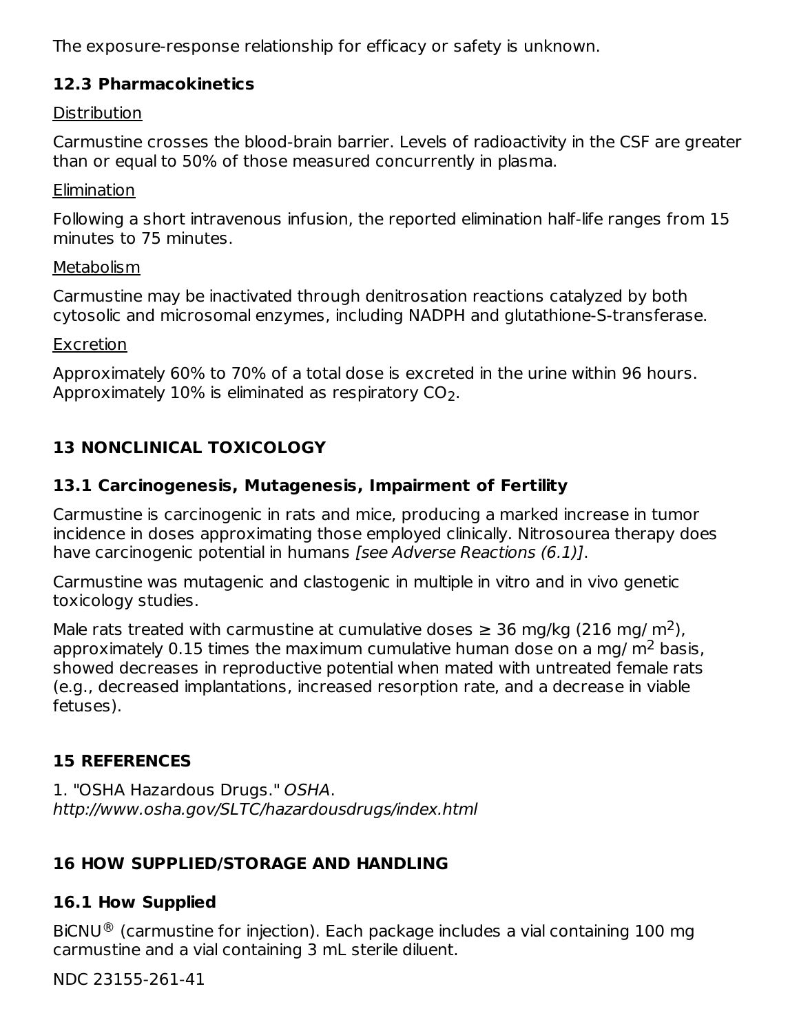The exposure-response relationship for efficacy or safety is unknown.

### **12.3 Pharmacokinetics**

#### Distribution

Carmustine crosses the blood-brain barrier. Levels of radioactivity in the CSF are greater than or equal to 50% of those measured concurrently in plasma.

#### **Elimination**

Following a short intravenous infusion, the reported elimination half-life ranges from 15 minutes to 75 minutes.

#### **Metabolism**

Carmustine may be inactivated through denitrosation reactions catalyzed by both cytosolic and microsomal enzymes, including NADPH and glutathione-S-transferase.

#### **Excretion**

Approximately 60% to 70% of a total dose is excreted in the urine within 96 hours. Approximately  $10\%$  is eliminated as respiratory CO $_2.$ 

## **13 NONCLINICAL TOXICOLOGY**

### **13.1 Carcinogenesis, Mutagenesis, Impairment of Fertility**

Carmustine is carcinogenic in rats and mice, producing a marked increase in tumor incidence in doses approximating those employed clinically. Nitrosourea therapy does have carcinogenic potential in humans [see Adverse Reactions (6.1)].

Carmustine was mutagenic and clastogenic in multiple in vitro and in vivo genetic toxicology studies.

Male rats treated with carmustine at cumulative doses  $\geq$  36 mg/kg (216 mg/ m<sup>2</sup>), approximately 0.15 times the maximum cumulative human dose on a mg/  $m^2$  basis, showed decreases in reproductive potential when mated with untreated female rats (e.g., decreased implantations, increased resorption rate, and a decrease in viable fetuses).

## **15 REFERENCES**

1. "OSHA Hazardous Drugs." OSHA. http://www.osha.gov/SLTC/hazardousdrugs/index.html

## **16 HOW SUPPLIED/STORAGE AND HANDLING**

## **16.1 How Supplied**

BiCNU $^{\circledR}$  (carmustine for injection). Each package includes a vial containing 100 mg carmustine and a vial containing 3 mL sterile diluent.

NDC 23155-261-41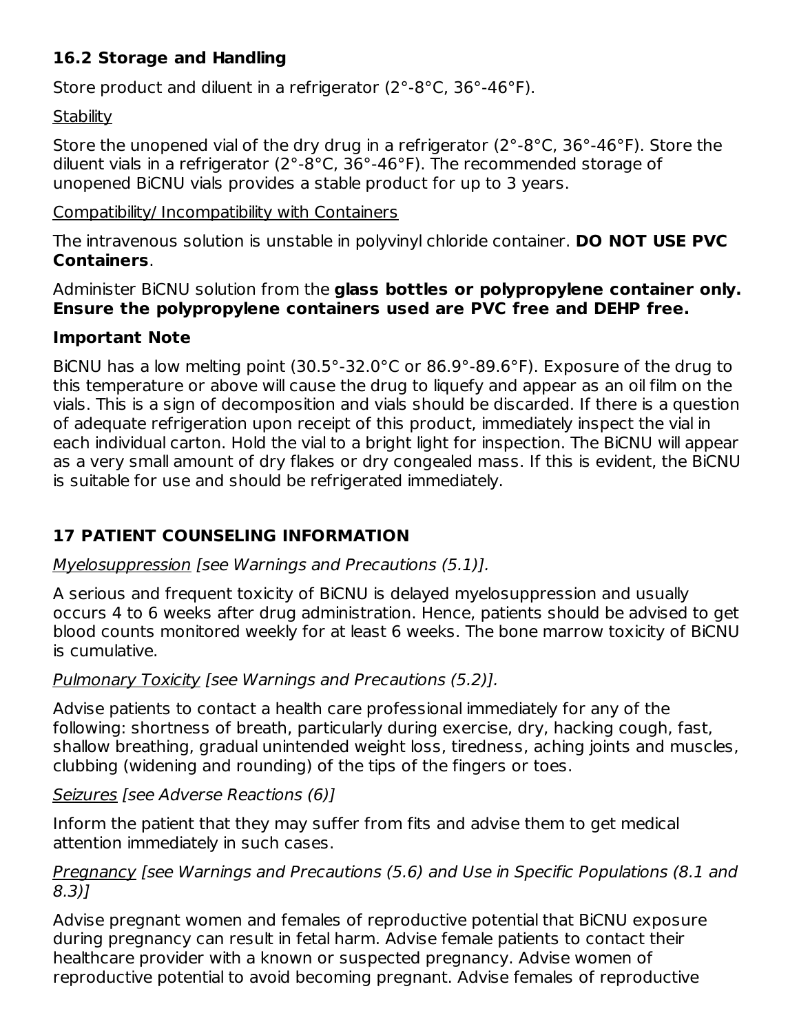## **16.2 Storage and Handling**

Store product and diluent in a refrigerator (2°-8°C, 36°-46°F).

### **Stability**

Store the unopened vial of the dry drug in a refrigerator (2°-8°C, 36°-46°F). Store the diluent vials in a refrigerator (2°-8°C, 36°-46°F). The recommended storage of unopened BiCNU vials provides a stable product for up to 3 years.

### Compatibility/ Incompatibility with Containers

The intravenous solution is unstable in polyvinyl chloride container. **DO NOT USE PVC Containers**.

Administer BiCNU solution from the **glass bottles or polypropylene container only. Ensure the polypropylene containers used are PVC free and DEHP free.**

### **Important Note**

BiCNU has a low melting point (30.5°-32.0°C or 86.9°-89.6°F). Exposure of the drug to this temperature or above will cause the drug to liquefy and appear as an oil film on the vials. This is a sign of decomposition and vials should be discarded. If there is a question of adequate refrigeration upon receipt of this product, immediately inspect the vial in each individual carton. Hold the vial to a bright light for inspection. The BiCNU will appear as a very small amount of dry flakes or dry congealed mass. If this is evident, the BiCNU is suitable for use and should be refrigerated immediately.

## **17 PATIENT COUNSELING INFORMATION**

## Myelosuppression [see Warnings and Precautions (5.1)].

A serious and frequent toxicity of BiCNU is delayed myelosuppression and usually occurs 4 to 6 weeks after drug administration. Hence, patients should be advised to get blood counts monitored weekly for at least 6 weeks. The bone marrow toxicity of BiCNU is cumulative.

## Pulmonary Toxicity [see Warnings and Precautions (5.2)].

Advise patients to contact a health care professional immediately for any of the following: shortness of breath, particularly during exercise, dry, hacking cough, fast, shallow breathing, gradual unintended weight loss, tiredness, aching joints and muscles, clubbing (widening and rounding) of the tips of the fingers or toes.

### Seizures [see Adverse Reactions (6)]

Inform the patient that they may suffer from fits and advise them to get medical attention immediately in such cases.

### Pregnancy [see Warnings and Precautions (5.6) and Use in Specific Populations (8.1 and 8.3)]

Advise pregnant women and females of reproductive potential that BiCNU exposure during pregnancy can result in fetal harm. Advise female patients to contact their healthcare provider with a known or suspected pregnancy. Advise women of reproductive potential to avoid becoming pregnant. Advise females of reproductive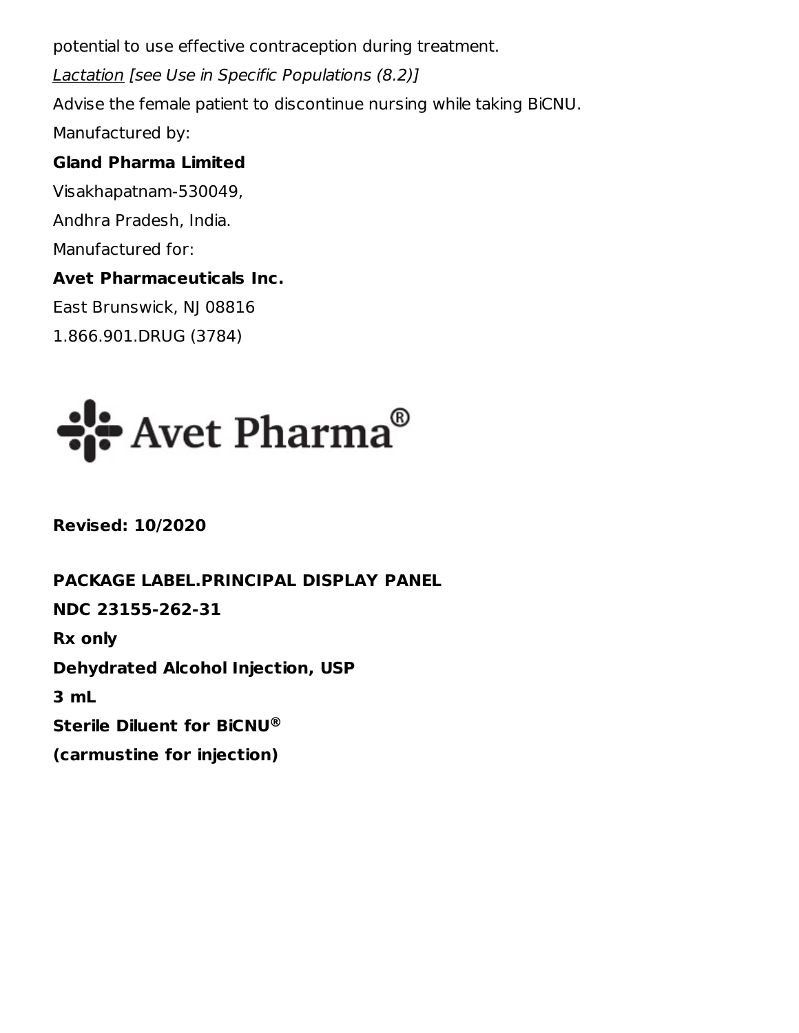potential to use effective contraception during treatment. Lactation [see Use in Specific Populations (8.2)] Advise the female patient to discontinue nursing while taking BiCNU. Manufactured by:

### **Gland Pharma Limited**

Visakhapatnam-530049, Andhra Pradesh, India. Manufactured for: **Avet Pharmaceuticals Inc.**

East Brunswick, NJ 08816 1.866.901.DRUG (3784)



**Revised: 10/2020**

**PACKAGE LABEL.PRINCIPAL DISPLAY PANEL NDC 23155-262-31 Rx only Dehydrated Alcohol Injection, USP 3 mL Sterile Diluent for BiCNU ®(carmustine for injection)**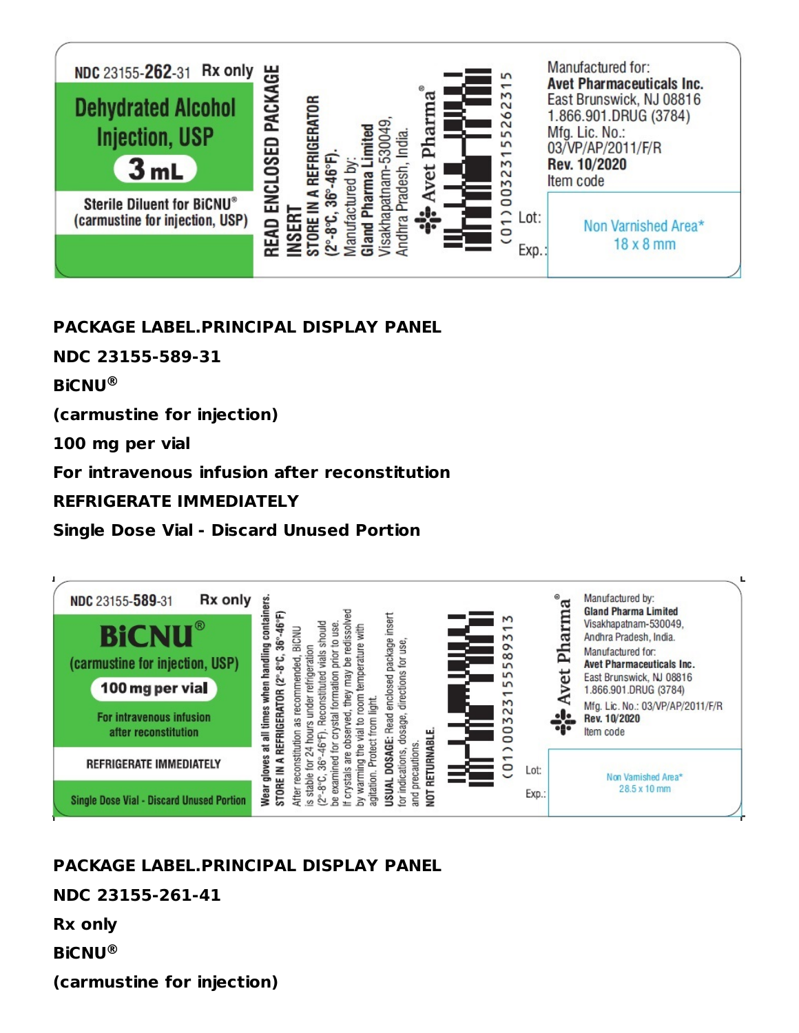

## **PACKAGE LABEL.PRINCIPAL DISPLAY PANEL**

**NDC 23155-589-31**

**BiCNU ®**

**(carmustine for injection)**

**100 mg per vial**

**For intravenous infusion after reconstitution**

#### **REFRIGERATE IMMEDIATELY**

**Single Dose Vial - Discard Unused Portion**



## **PACKAGE LABEL.PRINCIPAL DISPLAY PANEL**

### **NDC 23155-261-41**

**Rx only**

**BiCNU ®**

**(carmustine for injection)**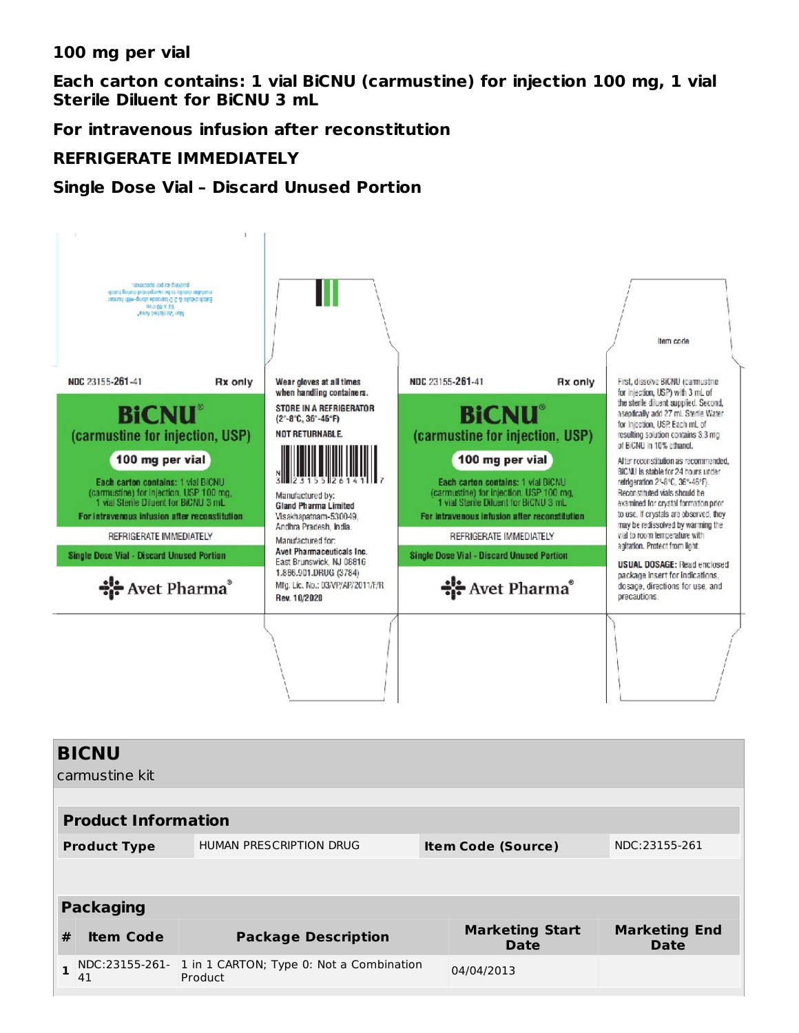**100 mg per vial**

**Each carton contains: 1 vial BiCNU (carmustine) for injection 100 mg, 1 vial Sterile Diluent for BiCNU 3 mL**

**For intravenous infusion after reconstitution**

#### **REFRIGERATE IMMEDIATELY**

#### **Single Dose Vial – Discard Unused Portion**



| Callitustile Kit           |                                                                             |                                                     |               |                                |                                     |
|----------------------------|-----------------------------------------------------------------------------|-----------------------------------------------------|---------------|--------------------------------|-------------------------------------|
|                            |                                                                             |                                                     |               |                                |                                     |
| <b>Product Information</b> |                                                                             |                                                     |               |                                |                                     |
|                            | HUMAN PRESCRIPTION DRUG<br><b>Item Code (Source)</b><br><b>Product Type</b> |                                                     | NDC:23155-261 |                                |                                     |
|                            |                                                                             |                                                     |               |                                |                                     |
|                            |                                                                             |                                                     |               |                                |                                     |
| <b>Packaging</b>           |                                                                             |                                                     |               |                                |                                     |
| #                          | <b>Item Code</b>                                                            | <b>Package Description</b>                          |               | <b>Marketing Start</b><br>Date | <b>Marketing End</b><br><b>Date</b> |
| $\mathbf{1}$               | NDC:23155-261-<br>41                                                        | 1 in 1 CARTON; Type 0: Not a Combination<br>Product |               | 04/04/2013                     |                                     |
|                            |                                                                             |                                                     |               |                                |                                     |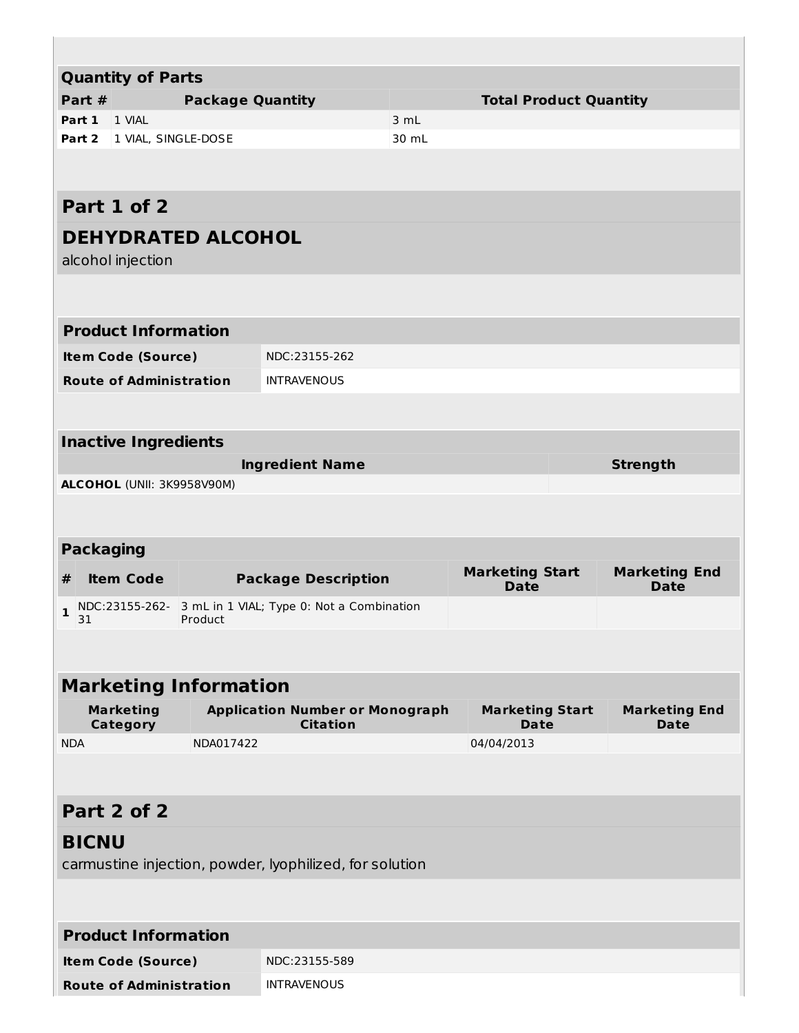| <b>Quantity of Parts</b>                               |           |                                                         |       |                                       |                      |
|--------------------------------------------------------|-----------|---------------------------------------------------------|-------|---------------------------------------|----------------------|
| Part #<br><b>Package Quantity</b>                      |           |                                                         |       | <b>Total Product Quantity</b>         |                      |
| Part 1<br>1 VIAL                                       |           |                                                         | 3 mL  |                                       |                      |
| 1 VIAL, SINGLE-DOSE<br>Part 2                          |           |                                                         | 30 mL |                                       |                      |
|                                                        |           |                                                         |       |                                       |                      |
| Part 1 of 2                                            |           |                                                         |       |                                       |                      |
| <b>DEHYDRATED ALCOHOL</b>                              |           |                                                         |       |                                       |                      |
| alcohol injection                                      |           |                                                         |       |                                       |                      |
|                                                        |           |                                                         |       |                                       |                      |
|                                                        |           |                                                         |       |                                       |                      |
| <b>Product Information</b>                             |           |                                                         |       |                                       |                      |
| <b>Item Code (Source)</b>                              |           | NDC:23155-262                                           |       |                                       |                      |
| <b>Route of Administration</b>                         |           | <b>INTRAVENOUS</b>                                      |       |                                       |                      |
|                                                        |           |                                                         |       |                                       |                      |
| <b>Inactive Ingredients</b>                            |           |                                                         |       |                                       |                      |
|                                                        |           | <b>Ingredient Name</b>                                  |       |                                       | <b>Strength</b>      |
| ALCOHOL (UNII: 3K9958V90M)                             |           |                                                         |       |                                       |                      |
|                                                        |           |                                                         |       |                                       |                      |
|                                                        |           |                                                         |       |                                       |                      |
| <b>Packaging</b>                                       |           |                                                         |       |                                       |                      |
| <b>Package Description</b><br>$\#$<br><b>Item Code</b> |           |                                                         |       |                                       | <b>Marketing End</b> |
|                                                        |           |                                                         |       | <b>Marketing Start</b><br><b>Date</b> | <b>Date</b>          |
| NDC:23155-262-<br>$\mathbf{1}$                         |           | 3 mL in 1 VIAL; Type 0: Not a Combination               |       |                                       |                      |
| 31                                                     | Product   |                                                         |       |                                       |                      |
|                                                        |           |                                                         |       |                                       |                      |
| <b>Marketing Information</b>                           |           |                                                         |       |                                       |                      |
| <b>Marketing</b>                                       |           | <b>Application Number or Monograph</b>                  |       | <b>Marketing Start</b>                | <b>Marketing End</b> |
| <b>Category</b><br><b>NDA</b>                          | NDA017422 | <b>Citation</b>                                         |       | <b>Date</b><br>04/04/2013             | <b>Date</b>          |
|                                                        |           |                                                         |       |                                       |                      |
|                                                        |           |                                                         |       |                                       |                      |
| Part 2 of 2                                            |           |                                                         |       |                                       |                      |
| <b>BICNU</b>                                           |           |                                                         |       |                                       |                      |
|                                                        |           | carmustine injection, powder, lyophilized, for solution |       |                                       |                      |
|                                                        |           |                                                         |       |                                       |                      |
|                                                        |           |                                                         |       |                                       |                      |
| <b>Product Information</b>                             |           |                                                         |       |                                       |                      |
| <b>Item Code (Source)</b>                              |           | NDC:23155-589                                           |       |                                       |                      |